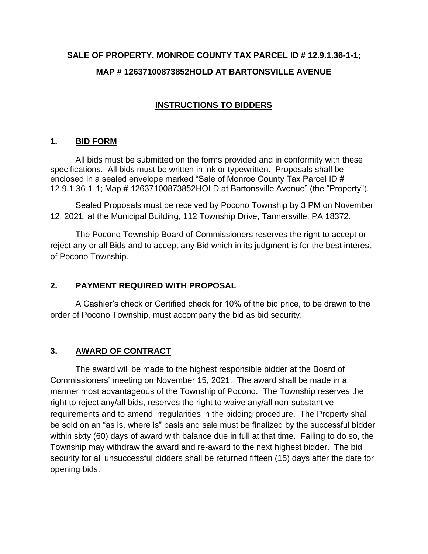# **SALE OF PROPERTY, MONROE COUNTY TAX PARCEL ID # 12.9.1.36-1-1; MAP # 12637100873852HOLD AT BARTONSVILLE AVENUE**

## **INSTRUCTIONS TO BIDDERS**

#### **1. BID FORM**

All bids must be submitted on the forms provided and in conformity with these specifications. All bids must be written in ink or typewritten. Proposals shall be enclosed in a sealed envelope marked "Sale of Monroe County Tax Parcel ID # 12.9.1.36-1-1; Map # 12637100873852HOLD at Bartonsville Avenue" (the "Property").

Sealed Proposals must be received by Pocono Township by 3 PM on November 12, 2021, at the Municipal Building, 112 Township Drive, Tannersville, PA 18372.

The Pocono Township Board of Commissioners reserves the right to accept or reject any or all Bids and to accept any Bid which in its judgment is for the best interest of Pocono Township.

#### **2. PAYMENT REQUIRED WITH PROPOSAL**

A Cashier's check or Certified check for 10% of the bid price, to be drawn to the order of Pocono Township, must accompany the bid as bid security.

#### **3. AWARD OF CONTRACT**

The award will be made to the highest responsible bidder at the Board of Commissioners' meeting on November 15, 2021. The award shall be made in a manner most advantageous of the Township of Pocono. The Township reserves the right to reject any/all bids, reserves the right to waive any/all non-substantive requirements and to amend irregularities in the bidding procedure. The Property shall be sold on an "as is, where is" basis and sale must be finalized by the successful bidder within sixty (60) days of award with balance due in full at that time. Failing to do so, the Township may withdraw the award and re-award to the next highest bidder. The bid security for all unsuccessful bidders shall be returned fifteen (15) days after the date for opening bids.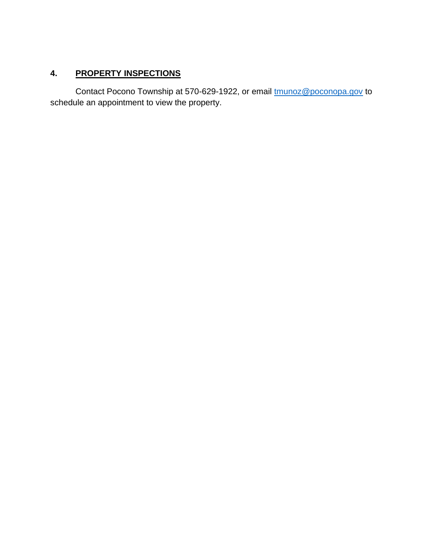### **4. PROPERTY INSPECTIONS**

Contact Pocono Township at 570-629-1922, or email [tmunoz@poconopa.gov](mailto:tmunoz@poconopa.gov) to schedule an appointment to view the property.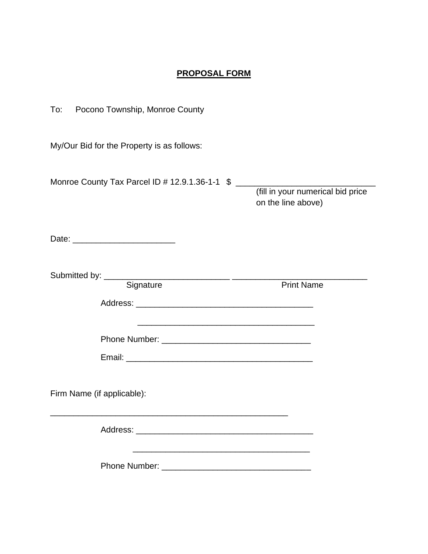#### **PROPOSAL FORM**

| To: Pocono Township, Monroe County                                                                                                     |                                                         |
|----------------------------------------------------------------------------------------------------------------------------------------|---------------------------------------------------------|
| My/Our Bid for the Property is as follows:                                                                                             |                                                         |
| Monroe County Tax Parcel ID # 12.9.1.36-1-1 \$                                                                                         | (fill in your numerical bid price<br>on the line above) |
|                                                                                                                                        |                                                         |
| Signature                                                                                                                              | <b>Print Name</b>                                       |
| <u> 1989 - Johann Barbara, martxa alemaniar arg</u>                                                                                    |                                                         |
| Firm Name (if applicable):                                                                                                             |                                                         |
|                                                                                                                                        |                                                         |
| <u> 1989 - Johann Harry Harry Harry Harry Harry Harry Harry Harry Harry Harry Harry Harry Harry Harry Harry Harry</u><br>Phone Number: |                                                         |